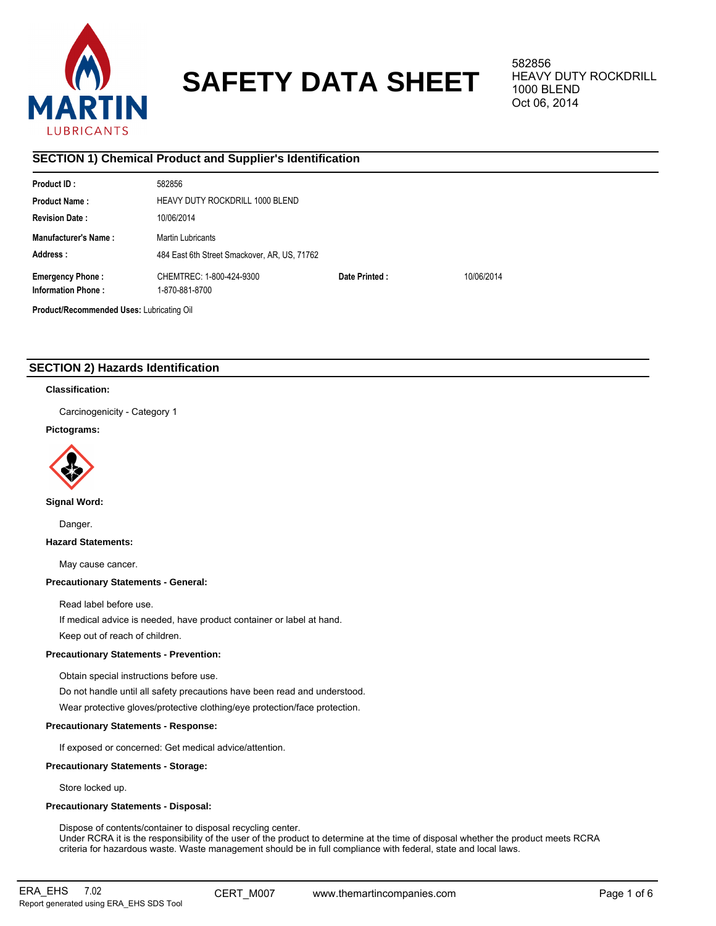

# **SAFETY DATA SHEET**

582856 HEAVY DUTY ROCKDRILL 1000 BLEND Oct 06, 2014

# **SECTION 1) Chemical Product and Supplier's Identification**

| Product ID:                               | 582856                   |                                              |            |  |  |  |  |
|-------------------------------------------|--------------------------|----------------------------------------------|------------|--|--|--|--|
| <b>Product Name:</b>                      |                          | <b>HEAVY DUTY ROCKDRILL 1000 BLEND</b>       |            |  |  |  |  |
| <b>Revision Date:</b>                     | 10/06/2014               |                                              |            |  |  |  |  |
| <b>Manufacturer's Name:</b>               | <b>Martin Lubricants</b> |                                              |            |  |  |  |  |
| Address:                                  |                          | 484 East 6th Street Smackover, AR, US, 71762 |            |  |  |  |  |
| <b>Emergency Phone:</b>                   | CHEMTREC: 1-800-424-9300 | Date Printed:                                | 10/06/2014 |  |  |  |  |
| <b>Information Phone:</b>                 | 1-870-881-8700           |                                              |            |  |  |  |  |
| Product/Recommended Uses: Lubricating Oil |                          |                                              |            |  |  |  |  |

# **SECTION 2) Hazards Identification**

## **Classification:**

Carcinogenicity - Category 1

## **Pictograms:**



**Signal Word:**

Danger.

**Hazard Statements:**

May cause cancer.

## **Precautionary Statements - General:**

Read label before use.

If medical advice is needed, have product container or label at hand.

Keep out of reach of children.

# **Precautionary Statements - Prevention:**

Obtain special instructions before use.

Do not handle until all safety precautions have been read and understood.

Wear protective gloves/protective clothing/eye protection/face protection.

## **Precautionary Statements - Response:**

If exposed or concerned: Get medical advice/attention.

## **Precautionary Statements - Storage:**

Store locked up.

## **Precautionary Statements - Disposal:**

Dispose of contents/container to disposal recycling center. Under RCRA it is the responsibility of the user of the product to determine at the time of disposal whether the product meets RCRA criteria for hazardous waste. Waste management should be in full compliance with federal, state and local laws.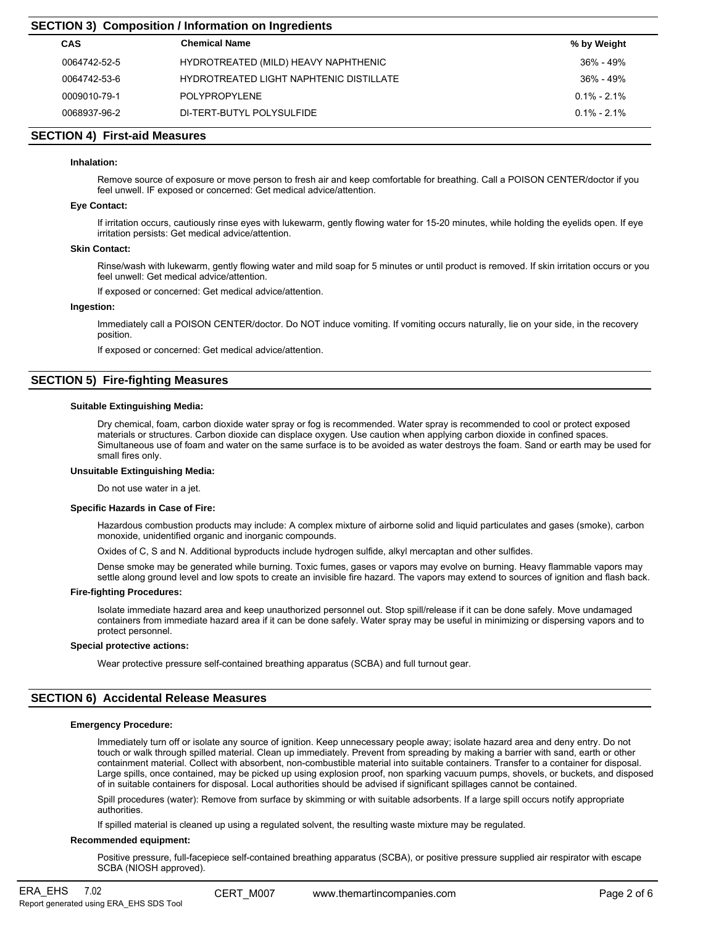# **SECTION 3) Composition / Information on Ingredients**

| <b>CAS</b>   | <b>Chemical Name</b>                    | % by Weight     |
|--------------|-----------------------------------------|-----------------|
| 0064742-52-5 | HYDROTREATED (MILD) HEAVY NAPHTHENIC    | 36% - 49%       |
| 0064742-53-6 | HYDROTREATED LIGHT NAPHTENIC DISTILLATE | 36% - 49%       |
| 0009010-79-1 | <b>POLYPROPYLENE</b>                    | $0.1\% - 2.1\%$ |
| 0068937-96-2 | DI-TERT-BUTYL POLYSULFIDE               | $0.1\% - 2.1\%$ |

## **SECTION 4) First-aid Measures**

## **Inhalation:**

Remove source of exposure or move person to fresh air and keep comfortable for breathing. Call a POISON CENTER/doctor if you feel unwell. IF exposed or concerned: Get medical advice/attention.

## **Eye Contact:**

If irritation occurs, cautiously rinse eyes with lukewarm, gently flowing water for 15-20 minutes, while holding the eyelids open. If eye irritation persists: Get medical advice/attention.

## **Skin Contact:**

Rinse/wash with lukewarm, gently flowing water and mild soap for 5 minutes or until product is removed. If skin irritation occurs or you feel unwell: Get medical advice/attention.

If exposed or concerned: Get medical advice/attention.

#### **Ingestion:**

Immediately call a POISON CENTER/doctor. Do NOT induce vomiting. If vomiting occurs naturally, lie on your side, in the recovery position.

If exposed or concerned: Get medical advice/attention.

## **SECTION 5) Fire-fighting Measures**

#### **Suitable Extinguishing Media:**

Dry chemical, foam, carbon dioxide water spray or fog is recommended. Water spray is recommended to cool or protect exposed materials or structures. Carbon dioxide can displace oxygen. Use caution when applying carbon dioxide in confined spaces. Simultaneous use of foam and water on the same surface is to be avoided as water destroys the foam. Sand or earth may be used for small fires only.

## **Unsuitable Extinguishing Media:**

Do not use water in a jet.

#### **Specific Hazards in Case of Fire:**

Hazardous combustion products may include: A complex mixture of airborne solid and liquid particulates and gases (smoke), carbon monoxide, unidentified organic and inorganic compounds.

Oxides of C, S and N. Additional byproducts include hydrogen sulfide, alkyl mercaptan and other sulfides.

Dense smoke may be generated while burning. Toxic fumes, gases or vapors may evolve on burning. Heavy flammable vapors may settle along ground level and low spots to create an invisible fire hazard. The vapors may extend to sources of ignition and flash back.

## **Fire-fighting Procedures:**

Isolate immediate hazard area and keep unauthorized personnel out. Stop spill/release if it can be done safely. Move undamaged containers from immediate hazard area if it can be done safely. Water spray may be useful in minimizing or dispersing vapors and to protect personnel.

#### **Special protective actions:**

Wear protective pressure self-contained breathing apparatus (SCBA) and full turnout gear.

## **SECTION 6) Accidental Release Measures**

## **Emergency Procedure:**

Immediately turn off or isolate any source of ignition. Keep unnecessary people away; isolate hazard area and deny entry. Do not touch or walk through spilled material. Clean up immediately. Prevent from spreading by making a barrier with sand, earth or other containment material. Collect with absorbent, non-combustible material into suitable containers. Transfer to a container for disposal. Large spills, once contained, may be picked up using explosion proof, non sparking vacuum pumps, shovels, or buckets, and disposed of in suitable containers for disposal. Local authorities should be advised if significant spillages cannot be contained.

Spill procedures (water): Remove from surface by skimming or with suitable adsorbents. If a large spill occurs notify appropriate authorities.

If spilled material is cleaned up using a regulated solvent, the resulting waste mixture may be regulated.

#### **Recommended equipment:**

Positive pressure, full-facepiece self-contained breathing apparatus (SCBA), or positive pressure supplied air respirator with escape SCBA (NIOSH approved).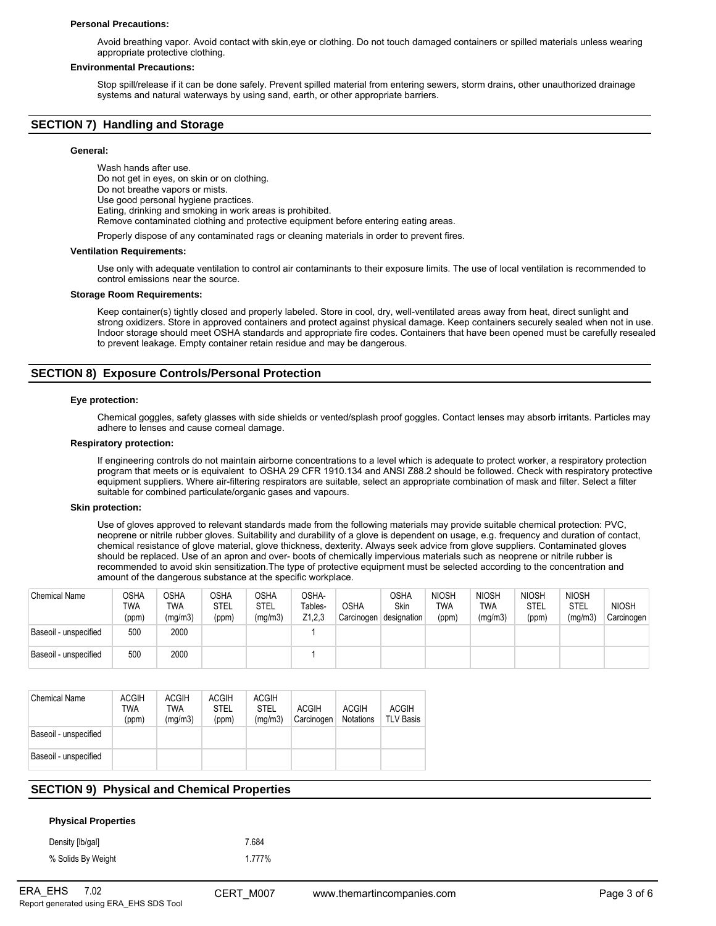#### **Personal Precautions:**

Avoid breathing vapor. Avoid contact with skin,eye or clothing. Do not touch damaged containers or spilled materials unless wearing appropriate protective clothing.

#### **Environmental Precautions:**

Stop spill/release if it can be done safely. Prevent spilled material from entering sewers, storm drains, other unauthorized drainage systems and natural waterways by using sand, earth, or other appropriate barriers.

## **SECTION 7) Handling and Storage**

#### **General:**

Wash hands after use. Do not get in eyes, on skin or on clothing. Do not breathe vapors or mists. Use good personal hygiene practices. Eating, drinking and smoking in work areas is prohibited. Remove contaminated clothing and protective equipment before entering eating areas.

Properly dispose of any contaminated rags or cleaning materials in order to prevent fires.

#### **Ventilation Requirements:**

Use only with adequate ventilation to control air contaminants to their exposure limits. The use of local ventilation is recommended to control emissions near the source.

#### **Storage Room Requirements:**

Keep container(s) tightly closed and properly labeled. Store in cool, dry, well-ventilated areas away from heat, direct sunlight and strong oxidizers. Store in approved containers and protect against physical damage. Keep containers securely sealed when not in use. Indoor storage should meet OSHA standards and appropriate fire codes. Containers that have been opened must be carefully resealed to prevent leakage. Empty container retain residue and may be dangerous.

## **SECTION 8) Exposure Controls/Personal Protection**

#### **Eye protection:**

Chemical goggles, safety glasses with side shields or vented/splash proof goggles. Contact lenses may absorb irritants. Particles may adhere to lenses and cause corneal damage.

#### **Respiratory protection:**

If engineering controls do not maintain airborne concentrations to a level which is adequate to protect worker, a respiratory protection program that meets or is equivalent to OSHA 29 CFR 1910.134 and ANSI Z88.2 should be followed. Check with respiratory protective equipment suppliers. Where air-filtering respirators are suitable, select an appropriate combination of mask and filter. Select a filter suitable for combined particulate/organic gases and vapours.

#### **Skin protection:**

Use of gloves approved to relevant standards made from the following materials may provide suitable chemical protection: PVC, neoprene or nitrile rubber gloves. Suitability and durability of a glove is dependent on usage, e.g. frequency and duration of contact, chemical resistance of glove material, glove thickness, dexterity. Always seek advice from glove suppliers. Contaminated gloves should be replaced. Use of an apron and over- boots of chemically impervious materials such as neoprene or nitrile rubber is recommended to avoid skin sensitization.The type of protective equipment must be selected according to the concentration and amount of the dangerous substance at the specific workplace.

| <b>Chemical Name</b>  | OSHA<br><b>TWA</b><br>(ppm) | <b>OSHA</b><br>TWA<br>(mg/m3) | <b>OSHA</b><br><b>STEL</b><br>(ppm) | OSHA<br>STEL<br>(mg/m3) | OSHA-<br>Tables-<br>Z1,2,3 | <b>OSHA</b><br>Carcinogen | <b>OSHA</b><br><b>Skin</b><br>designation | <b>NIOSH</b><br>TWA<br>(ppm) | <b>NIOSH</b><br>TWA<br>(mg/m3) | <b>NIOSH</b><br>STEL<br>(ppm) | <b>NIOSH</b><br>STEL<br>(mg/m3) | <b>NIOSH</b><br>Carcinogen |
|-----------------------|-----------------------------|-------------------------------|-------------------------------------|-------------------------|----------------------------|---------------------------|-------------------------------------------|------------------------------|--------------------------------|-------------------------------|---------------------------------|----------------------------|
| Baseoil - unspecified | 500                         | 2000                          |                                     |                         |                            |                           |                                           |                              |                                |                               |                                 |                            |
| Baseoil - unspecified | 500                         | 2000                          |                                     |                         |                            |                           |                                           |                              |                                |                               |                                 |                            |

| <b>Chemical Name</b>  | <b>ACGIH</b><br>TWA<br>(ppm) | <b>ACGIH</b><br>TWA<br>(mq/m3) | <b>ACGIH</b><br><b>STEL</b><br>(ppm) | <b>ACGIH</b><br><b>STEL</b><br>(mq/m3) | <b>ACGIH</b><br>Carcinogen | <b>ACGIH</b><br><b>Notations</b> | <b>ACGIH</b><br><b>TLV Basis</b> |
|-----------------------|------------------------------|--------------------------------|--------------------------------------|----------------------------------------|----------------------------|----------------------------------|----------------------------------|
| Baseoil - unspecified |                              |                                |                                      |                                        |                            |                                  |                                  |
| Baseoil - unspecified |                              |                                |                                      |                                        |                            |                                  |                                  |

## **SECTION 9) Physical and Chemical Properties**

### **Physical Properties**

| Density [lb/gal]   | 7.684  |
|--------------------|--------|
| % Solids By Weight | 1.777% |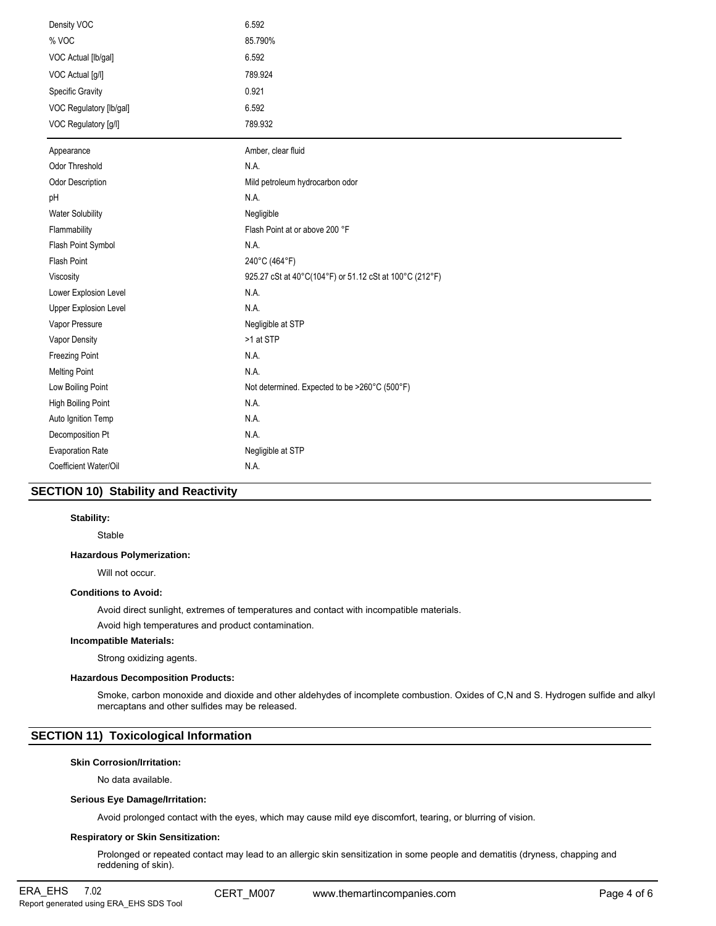| Density VOC             | 6.592                                                   |
|-------------------------|---------------------------------------------------------|
| % VOC                   | 85.790%                                                 |
| VOC Actual [lb/gal]     | 6.592                                                   |
| VOC Actual [g/l]        | 789.924                                                 |
| <b>Specific Gravity</b> | 0.921                                                   |
| VOC Regulatory [lb/gal] | 6.592                                                   |
| VOC Regulatory [g/l]    | 789.932                                                 |
| Appearance              | Amber, clear fluid                                      |
| Odor Threshold          | N.A.                                                    |
| Odor Description        | Mild petroleum hydrocarbon odor                         |
| pH                      | N.A.                                                    |
| <b>Water Solubility</b> | Negligible                                              |
| Flammability            | Flash Point at or above 200 °F                          |
| Flash Point Symbol      | N.A.                                                    |
| Flash Point             | 240°C (464°F)                                           |
| Viscosity               | 925.27 cSt at 40°C(104°F) or 51.12 cSt at 100°C (212°F) |
| Lower Explosion Level   | N.A.                                                    |
| Upper Explosion Level   | N.A.                                                    |
| Vapor Pressure          | Negligible at STP                                       |
| Vapor Density           | >1 at STP                                               |
| <b>Freezing Point</b>   | N.A.                                                    |
| <b>Melting Point</b>    | N.A.                                                    |
| Low Boiling Point       | Not determined. Expected to be >260°C (500°F)           |
| High Boiling Point      | N.A.                                                    |
| Auto Ignition Temp      | N.A.                                                    |
| Decomposition Pt        | N.A.                                                    |
| <b>Evaporation Rate</b> | Negligible at STP                                       |
| Coefficient Water/Oil   | N.A.                                                    |

# **SECTION 10) Stability and Reactivity**

## **Stability:**

Stable

## **Hazardous Polymerization:**

Will not occur.

## **Conditions to Avoid:**

Avoid direct sunlight, extremes of temperatures and contact with incompatible materials.

Avoid high temperatures and product contamination.

## **Incompatible Materials:**

Strong oxidizing agents.

## **Hazardous Decomposition Products:**

Smoke, carbon monoxide and dioxide and other aldehydes of incomplete combustion. Oxides of C,N and S. Hydrogen sulfide and alkyl mercaptans and other sulfides may be released.

# **SECTION 11) Toxicological Information**

## **Skin Corrosion/Irritation:**

No data available.

## **Serious Eye Damage/Irritation:**

Avoid prolonged contact with the eyes, which may cause mild eye discomfort, tearing, or blurring of vision.

## **Respiratory or Skin Sensitization:**

Prolonged or repeated contact may lead to an allergic skin sensitization in some people and dematitis (dryness, chapping and reddening of skin).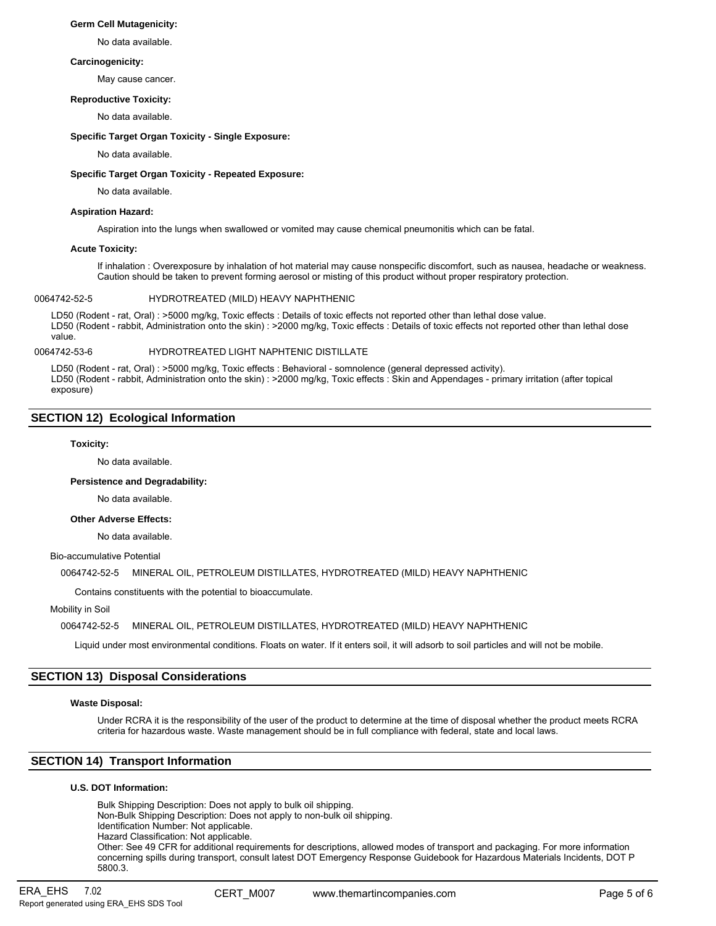#### **Germ Cell Mutagenicity:**

No data available.

## **Carcinogenicity:**

May cause cancer.

## **Reproductive Toxicity:**

No data available.

## **Specific Target Organ Toxicity - Single Exposure:**

No data available.

## **Specific Target Organ Toxicity - Repeated Exposure:**

No data available.

## **Aspiration Hazard:**

Aspiration into the lungs when swallowed or vomited may cause chemical pneumonitis which can be fatal.

## **Acute Toxicity:**

If inhalation : Overexposure by inhalation of hot material may cause nonspecific discomfort, such as nausea, headache or weakness. Caution should be taken to prevent forming aerosol or misting of this product without proper respiratory protection.

## 0064742-52-5 HYDROTREATED (MILD) HEAVY NAPHTHENIC

LD50 (Rodent - rat, Oral) : >5000 mg/kg, Toxic effects : Details of toxic effects not reported other than lethal dose value. LD50 (Rodent - rabbit, Administration onto the skin) : >2000 mg/kg, Toxic effects : Details of toxic effects not reported other than lethal dose value.

0064742-53-6 HYDROTREATED LIGHT NAPHTENIC DISTILLATE

LD50 (Rodent - rat, Oral) : >5000 mg/kg, Toxic effects : Behavioral - somnolence (general depressed activity). LD50 (Rodent - rabbit, Administration onto the skin) : >2000 mg/kg, Toxic effects : Skin and Appendages - primary irritation (after topical exposure)

## **SECTION 12) Ecological Information**

## **Toxicity:**

No data available.

#### **Persistence and Degradability:**

No data available.

# **Other Adverse Effects:**

No data available.

#### Bio-accumulative Potential

0064742-52-5 MINERAL OIL, PETROLEUM DISTILLATES, HYDROTREATED (MILD) HEAVY NAPHTHENIC

Contains constituents with the potential to bioaccumulate.

## Mobility in Soil

0064742-52-5 MINERAL OIL, PETROLEUM DISTILLATES, HYDROTREATED (MILD) HEAVY NAPHTHENIC

Liquid under most environmental conditions. Floats on water. If it enters soil, it will adsorb to soil particles and will not be mobile.

## **SECTION 13) Disposal Considerations**

#### **Waste Disposal:**

Under RCRA it is the responsibility of the user of the product to determine at the time of disposal whether the product meets RCRA criteria for hazardous waste. Waste management should be in full compliance with federal, state and local laws.

# **SECTION 14) Transport Information**

## **U.S. DOT Information:**

Bulk Shipping Description: Does not apply to bulk oil shipping. Non-Bulk Shipping Description: Does not apply to non-bulk oil shipping. Identification Number: Not applicable. Hazard Classification: Not applicable. Other: See 49 CFR for additional requirements for descriptions, allowed modes of transport and packaging. For more information concerning spills during transport, consult latest DOT Emergency Response Guidebook for Hazardous Materials Incidents, DOT P 5800.3.